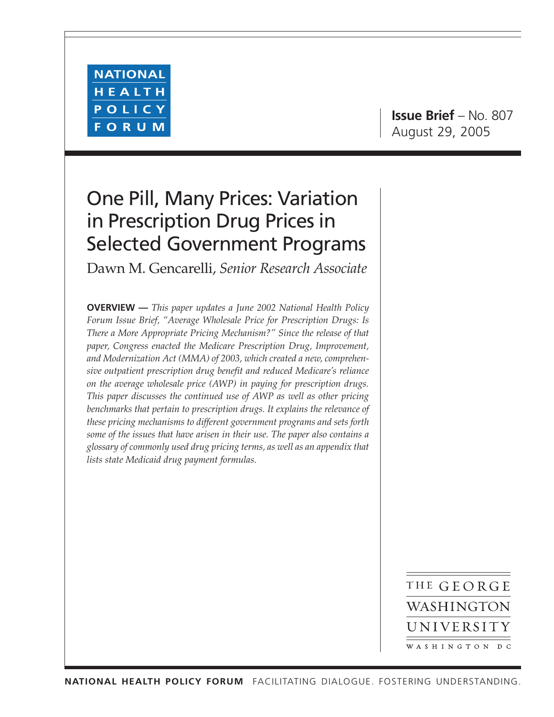

**Issue Brief** – No. 807 August 29, 2005

# One Pill, Many Prices: Variation in Prescription Drug Prices in Selected Government Programs

Dawn M. Gencarelli, *Senior Research Associate*

**OVERVIEW —** *This paper updates a June 2002 National Health Policy Forum Issue Brief, "Average Wholesale Price for Prescription Drugs: Is There a More Appropriate Pricing Mechanism?" Since the release of that paper, Congress enacted the Medicare Prescription Drug, Improvement, and Modernization Act (MMA) of 2003, which created a new, comprehensive outpatient prescription drug benefit and reduced Medicare's reliance on the average wholesale price (AWP) in paying for prescription drugs. This paper discusses the continued use of AWP as well as other pricing benchmarks that pertain to prescription drugs. It explains the relevance of these pricing mechanisms to different government programs and sets forth some of the issues that have arisen in their use. The paper also contains a glossary of commonly used drug pricing terms, as well as an appendix that lists state Medicaid drug payment formulas.*

> THE GEORGE WASHINGTON UNIVERSITY WASHINGTON DC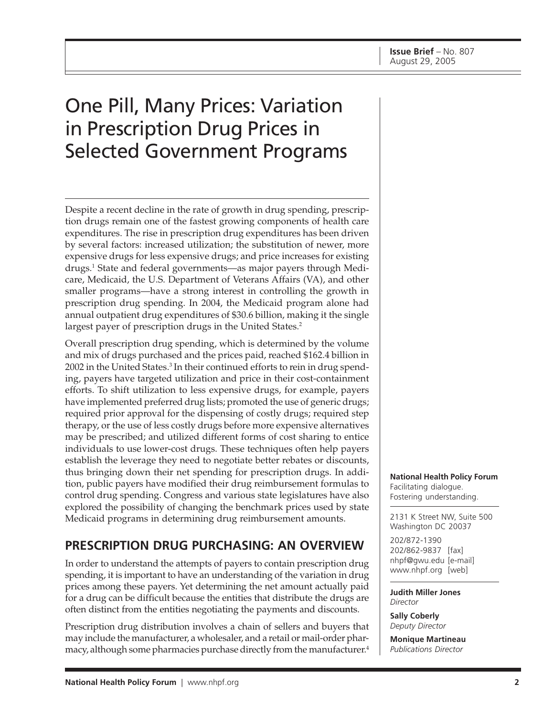# One Pill, Many Prices: Variation in Prescription Drug Prices in Selected Government Programs

Despite a recent decline in the rate of growth in drug spending, prescription drugs remain one of the fastest growing components of health care expenditures. The rise in prescription drug expenditures has been driven by several factors: increased utilization; the substitution of newer, more expensive drugs for less expensive drugs; and price increases for existing drugs.1 State and federal governments—as major payers through Medicare, Medicaid, the U.S. Department of Veterans Affairs (VA), and other smaller programs—have a strong interest in controlling the growth in prescription drug spending. In 2004, the Medicaid program alone had annual outpatient drug expenditures of \$30.6 billion, making it the single largest payer of prescription drugs in the United States.<sup>2</sup>

Overall prescription drug spending, which is determined by the volume and mix of drugs purchased and the prices paid, reached \$162.4 billion in 2002 in the United States.<sup>3</sup> In their continued efforts to rein in drug spending, payers have targeted utilization and price in their cost-containment efforts. To shift utilization to less expensive drugs, for example, payers have implemented preferred drug lists; promoted the use of generic drugs; required prior approval for the dispensing of costly drugs; required step therapy, or the use of less costly drugs before more expensive alternatives may be prescribed; and utilized different forms of cost sharing to entice individuals to use lower-cost drugs. These techniques often help payers establish the leverage they need to negotiate better rebates or discounts, thus bringing down their net spending for prescription drugs. In addition, public payers have modified their drug reimbursement formulas to control drug spending. Congress and various state legislatures have also explored the possibility of changing the benchmark prices used by state Medicaid programs in determining drug reimbursement amounts.

# **PRESCRIPTION DRUG PURCHASING: AN OVERVIEW**

In order to understand the attempts of payers to contain prescription drug spending, it is important to have an understanding of the variation in drug prices among these payers. Yet determining the net amount actually paid for a drug can be difficult because the entities that distribute the drugs are often distinct from the entities negotiating the payments and discounts.

Prescription drug distribution involves a chain of sellers and buyers that may include the manufacturer, a wholesaler, and a retail or mail-order pharmacy, although some pharmacies purchase directly from the manufacturer.<sup>4</sup> **National Health Policy Forum** Facilitating dialogue. Fostering understanding.

2131 K Street NW, Suite 500 Washington DC 20037

202/872-1390 202/862-9837 [fax] nhpf@gwu.edu [e-mail] www.nhpf.org [web]

**Judith Miller Jones** *Director*

**Sally Coberly** *Deputy Director*

**Monique Martineau** *Publications Director*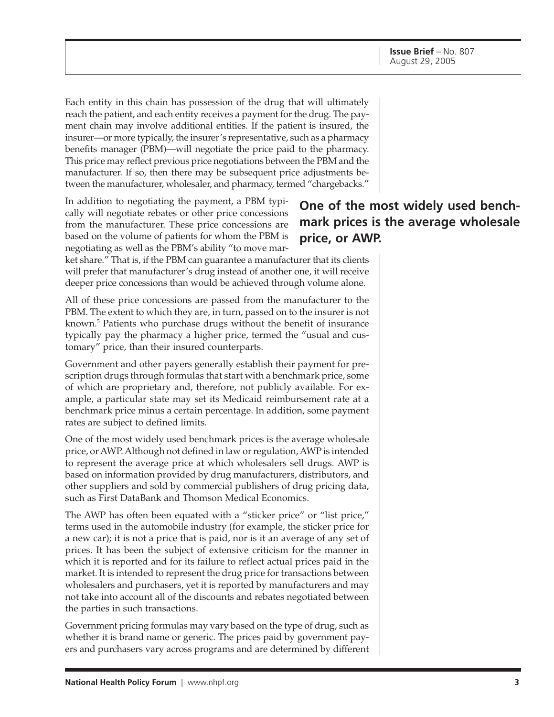Each entity in this chain has possession of the drug that will ultimately reach the patient, and each entity receives a payment for the drug. The payment chain may involve additional entities. If the patient is insured, the insurer—or more typically, the insurer's representative, such as a pharmacy benefits manager (PBM)—will negotiate the price paid to the pharmacy. This price may reflect previous price negotiations between the PBM and the manufacturer. If so, then there may be subsequent price adjustments between the manufacturer, wholesaler, and pharmacy, termed "chargebacks."

In addition to negotiating the payment, a PBM typically will negotiate rebates or other price concessions from the manufacturer. These price concessions are based on the volume of patients for whom the PBM is negotiating as well as the PBM's ability "to move mar-

# **One of the most widely used benchmark prices is the average wholesale price, or AWP.**

ket share." That is, if the PBM can guarantee a manufacturer that its clients will prefer that manufacturer's drug instead of another one, it will receive deeper price concessions than would be achieved through volume alone.

All of these price concessions are passed from the manufacturer to the PBM. The extent to which they are, in turn, passed on to the insurer is not known.5 Patients who purchase drugs without the benefit of insurance typically pay the pharmacy a higher price, termed the "usual and customary" price, than their insured counterparts.

Government and other payers generally establish their payment for prescription drugs through formulas that start with a benchmark price, some of which are proprietary and, therefore, not publicly available. For example, a particular state may set its Medicaid reimbursement rate at a benchmark price minus a certain percentage. In addition, some payment rates are subject to defined limits.

One of the most widely used benchmark prices is the average wholesale price, or AWP. Although not defined in law or regulation, AWP is intended to represent the average price at which wholesalers sell drugs. AWP is based on information provided by drug manufacturers, distributors, and other suppliers and sold by commercial publishers of drug pricing data, such as First DataBank and Thomson Medical Economics.

The AWP has often been equated with a "sticker price" or "list price," terms used in the automobile industry (for example, the sticker price for a new car); it is not a price that is paid, nor is it an average of any set of prices. It has been the subject of extensive criticism for the manner in which it is reported and for its failure to reflect actual prices paid in the market. It is intended to represent the drug price for transactions between wholesalers and purchasers, yet it is reported by manufacturers and may not take into account all of the discounts and rebates negotiated between the parties in such transactions.

Government pricing formulas may vary based on the type of drug, such as whether it is brand name or generic. The prices paid by government payers and purchasers vary across programs and are determined by different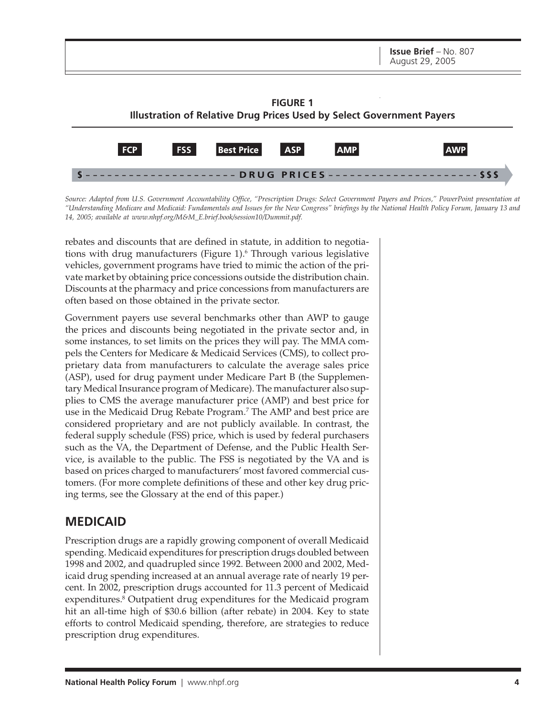

*Source: Adapted from U.S. Government Accountability Office, "Prescription Drugs: Select Government Payers and Prices," PowerPoint presentation at "Understanding Medicare and Medicaid: Fundamentals and Issues for the New Congress" briefings by the National Health Policy Forum, January 13 and 14, 2005; available at www.nhpf.org/M&M\_E.brief.book/session10/Dummit.pdf.*

rebates and discounts that are defined in statute, in addition to negotiations with drug manufacturers (Figure 1).<sup>6</sup> Through various legislative vehicles, government programs have tried to mimic the action of the private market by obtaining price concessions outside the distribution chain. Discounts at the pharmacy and price concessions from manufacturers are often based on those obtained in the private sector.

Government payers use several benchmarks other than AWP to gauge the prices and discounts being negotiated in the private sector and, in some instances, to set limits on the prices they will pay. The MMA compels the Centers for Medicare & Medicaid Services (CMS), to collect proprietary data from manufacturers to calculate the average sales price (ASP), used for drug payment under Medicare Part B (the Supplementary Medical Insurance program of Medicare). The manufacturer also supplies to CMS the average manufacturer price (AMP) and best price for use in the Medicaid Drug Rebate Program.<sup>7</sup> The AMP and best price are considered proprietary and are not publicly available. In contrast, the federal supply schedule (FSS) price, which is used by federal purchasers such as the VA, the Department of Defense, and the Public Health Service, is available to the public. The FSS is negotiated by the VA and is based on prices charged to manufacturers' most favored commercial customers. (For more complete definitions of these and other key drug pricing terms, see the Glossary at the end of this paper.)

## **MEDICAID**

Prescription drugs are a rapidly growing component of overall Medicaid spending. Medicaid expenditures for prescription drugs doubled between 1998 and 2002, and quadrupled since 1992. Between 2000 and 2002, Medicaid drug spending increased at an annual average rate of nearly 19 percent. In 2002, prescription drugs accounted for 11.3 percent of Medicaid expenditures.<sup>8</sup> Outpatient drug expenditures for the Medicaid program hit an all-time high of \$30.6 billion (after rebate) in 2004. Key to state efforts to control Medicaid spending, therefore, are strategies to reduce prescription drug expenditures.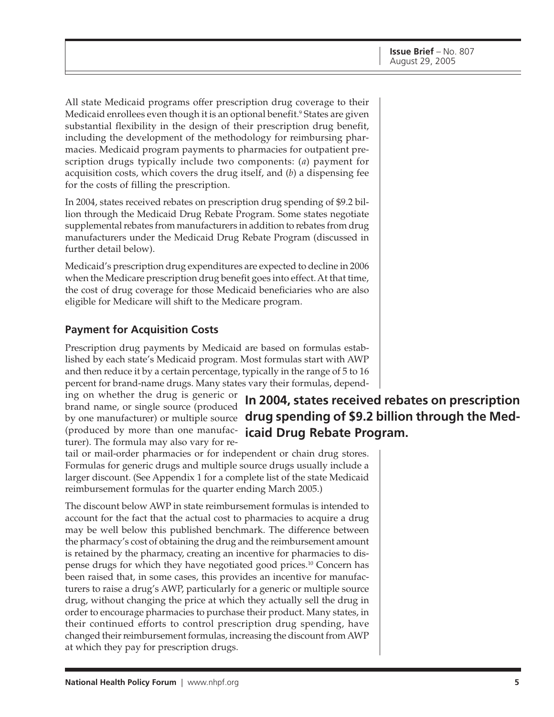All state Medicaid programs offer prescription drug coverage to their Medicaid enrollees even though it is an optional benefit.<sup>9</sup> States are given substantial flexibility in the design of their prescription drug benefit, including the development of the methodology for reimbursing pharmacies. Medicaid program payments to pharmacies for outpatient prescription drugs typically include two components: (*a*) payment for acquisition costs, which covers the drug itself, and (*b*) a dispensing fee for the costs of filling the prescription.

In 2004, states received rebates on prescription drug spending of \$9.2 billion through the Medicaid Drug Rebate Program. Some states negotiate supplemental rebates from manufacturers in addition to rebates from drug manufacturers under the Medicaid Drug Rebate Program (discussed in further detail below).

Medicaid's prescription drug expenditures are expected to decline in 2006 when the Medicare prescription drug benefit goes into effect. At that time, the cost of drug coverage for those Medicaid beneficiaries who are also eligible for Medicare will shift to the Medicare program.

#### **Payment for Acquisition Costs**

Prescription drug payments by Medicaid are based on formulas established by each state's Medicaid program. Most formulas start with AWP and then reduce it by a certain percentage, typically in the range of 5 to 16 percent for brand-name drugs. Many states vary their formulas, depend-

ing on whether the drug is generic or brand name, or single source (produced (produced by more than one manufacturer). The formula may also vary for re-

**In 2004, states received rebates on prescription** by one manufacturer) or multiple source **drug spending of \$9.2 billion through the Medicaid Drug Rebate Program.**

tail or mail-order pharmacies or for independent or chain drug stores. Formulas for generic drugs and multiple source drugs usually include a larger discount. (See Appendix 1 for a complete list of the state Medicaid reimbursement formulas for the quarter ending March 2005.)

The discount below AWP in state reimbursement formulas is intended to account for the fact that the actual cost to pharmacies to acquire a drug may be well below this published benchmark. The difference between the pharmacy's cost of obtaining the drug and the reimbursement amount is retained by the pharmacy, creating an incentive for pharmacies to dispense drugs for which they have negotiated good prices.10 Concern has been raised that, in some cases, this provides an incentive for manufacturers to raise a drug's AWP, particularly for a generic or multiple source drug, without changing the price at which they actually sell the drug in order to encourage pharmacies to purchase their product. Many states, in their continued efforts to control prescription drug spending, have changed their reimbursement formulas, increasing the discount from AWP at which they pay for prescription drugs.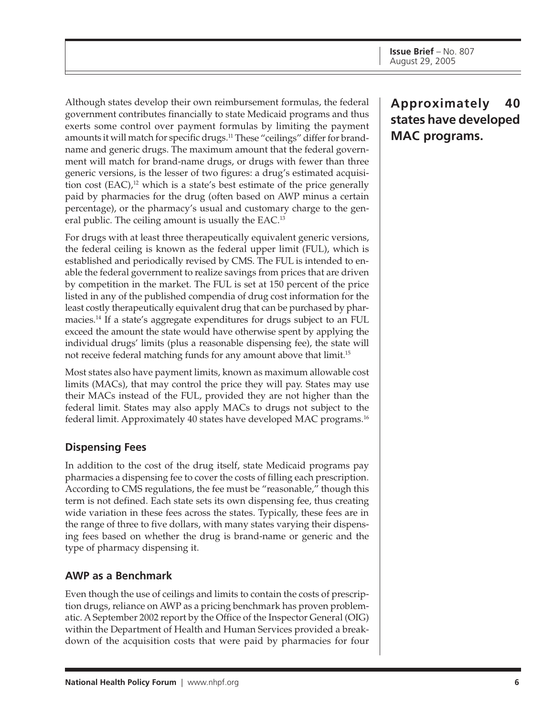Although states develop their own reimbursement formulas, the federal government contributes financially to state Medicaid programs and thus exerts some control over payment formulas by limiting the payment amounts it will match for specific drugs.<sup>11</sup> These "ceilings" differ for brandname and generic drugs. The maximum amount that the federal government will match for brand-name drugs, or drugs with fewer than three generic versions, is the lesser of two figures: a drug's estimated acquisition cost  $(EAC)$ ,<sup>12</sup> which is a state's best estimate of the price generally paid by pharmacies for the drug (often based on AWP minus a certain percentage), or the pharmacy's usual and customary charge to the general public. The ceiling amount is usually the EAC.<sup>13</sup>

For drugs with at least three therapeutically equivalent generic versions, the federal ceiling is known as the federal upper limit (FUL), which is established and periodically revised by CMS. The FUL is intended to enable the federal government to realize savings from prices that are driven by competition in the market. The FUL is set at 150 percent of the price listed in any of the published compendia of drug cost information for the least costly therapeutically equivalent drug that can be purchased by pharmacies.<sup>14</sup> If a state's aggregate expenditures for drugs subject to an FUL exceed the amount the state would have otherwise spent by applying the individual drugs' limits (plus a reasonable dispensing fee), the state will not receive federal matching funds for any amount above that limit.<sup>15</sup>

Most states also have payment limits, known as maximum allowable cost limits (MACs), that may control the price they will pay. States may use their MACs instead of the FUL, provided they are not higher than the federal limit. States may also apply MACs to drugs not subject to the federal limit. Approximately 40 states have developed MAC programs.16

### **Dispensing Fees**

In addition to the cost of the drug itself, state Medicaid programs pay pharmacies a dispensing fee to cover the costs of filling each prescription. According to CMS regulations, the fee must be "reasonable," though this term is not defined. Each state sets its own dispensing fee, thus creating wide variation in these fees across the states. Typically, these fees are in the range of three to five dollars, with many states varying their dispensing fees based on whether the drug is brand-name or generic and the type of pharmacy dispensing it.

#### **AWP as a Benchmark**

Even though the use of ceilings and limits to contain the costs of prescription drugs, reliance on AWP as a pricing benchmark has proven problematic. A September 2002 report by the Office of the Inspector General (OIG) within the Department of Health and Human Services provided a breakdown of the acquisition costs that were paid by pharmacies for four

# **Approximately 40 states have developed MAC programs.**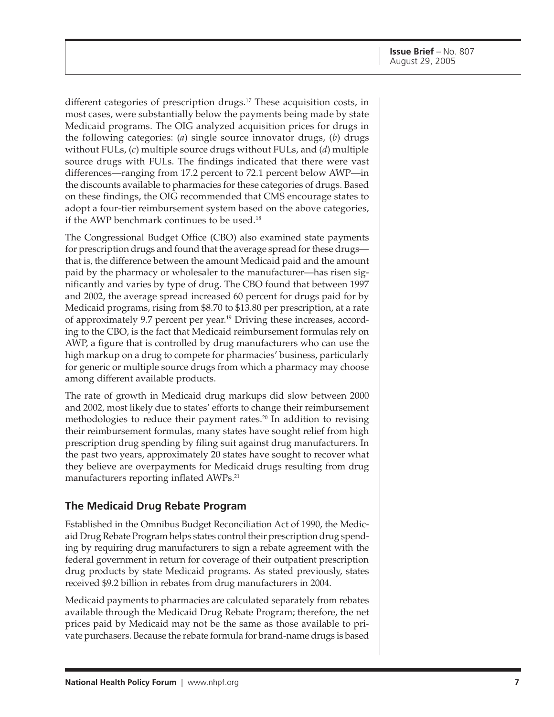different categories of prescription drugs.<sup>17</sup> These acquisition costs, in most cases, were substantially below the payments being made by state Medicaid programs. The OIG analyzed acquisition prices for drugs in the following categories: (*a*) single source innovator drugs, (*b*) drugs without FULs, (*c*) multiple source drugs without FULs, and (*d*) multiple source drugs with FULs. The findings indicated that there were vast differences—ranging from 17.2 percent to 72.1 percent below AWP—in the discounts available to pharmacies for these categories of drugs. Based on these findings, the OIG recommended that CMS encourage states to adopt a four-tier reimbursement system based on the above categories, if the AWP benchmark continues to be used.<sup>18</sup>

The Congressional Budget Office (CBO) also examined state payments for prescription drugs and found that the average spread for these drugs that is, the difference between the amount Medicaid paid and the amount paid by the pharmacy or wholesaler to the manufacturer—has risen significantly and varies by type of drug. The CBO found that between 1997 and 2002, the average spread increased 60 percent for drugs paid for by Medicaid programs, rising from \$8.70 to \$13.80 per prescription, at a rate of approximately 9.7 percent per year.<sup>19</sup> Driving these increases, according to the CBO, is the fact that Medicaid reimbursement formulas rely on AWP, a figure that is controlled by drug manufacturers who can use the high markup on a drug to compete for pharmacies' business, particularly for generic or multiple source drugs from which a pharmacy may choose among different available products.

The rate of growth in Medicaid drug markups did slow between 2000 and 2002, most likely due to states' efforts to change their reimbursement methodologies to reduce their payment rates.<sup>20</sup> In addition to revising their reimbursement formulas, many states have sought relief from high prescription drug spending by filing suit against drug manufacturers. In the past two years, approximately 20 states have sought to recover what they believe are overpayments for Medicaid drugs resulting from drug manufacturers reporting inflated AWPs.<sup>21</sup>

#### **The Medicaid Drug Rebate Program**

Established in the Omnibus Budget Reconciliation Act of 1990, the Medicaid Drug Rebate Program helps states control their prescription drug spending by requiring drug manufacturers to sign a rebate agreement with the federal government in return for coverage of their outpatient prescription drug products by state Medicaid programs. As stated previously, states received \$9.2 billion in rebates from drug manufacturers in 2004.

Medicaid payments to pharmacies are calculated separately from rebates available through the Medicaid Drug Rebate Program; therefore, the net prices paid by Medicaid may not be the same as those available to private purchasers. Because the rebate formula for brand-name drugs is based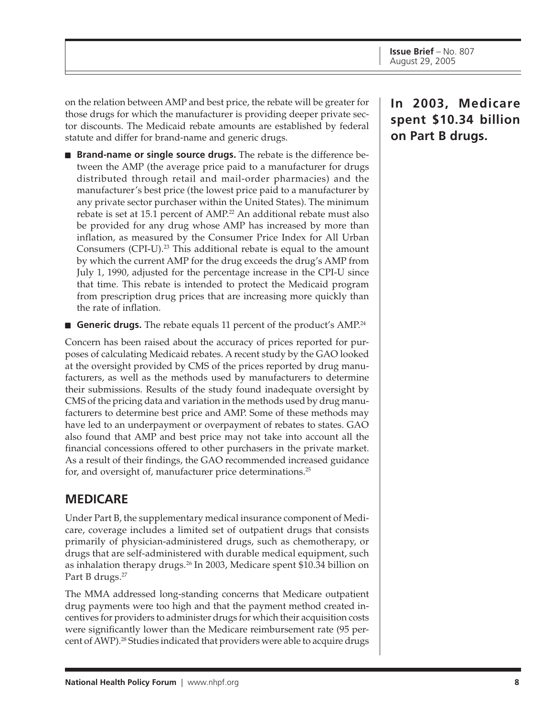on the relation between AMP and best price, the rebate will be greater for those drugs for which the manufacturer is providing deeper private sector discounts. The Medicaid rebate amounts are established by federal statute and differ for brand-name and generic drugs.

- **Brand-name or single source drugs.** The rebate is the difference between the AMP (the average price paid to a manufacturer for drugs distributed through retail and mail-order pharmacies) and the manufacturer's best price (the lowest price paid to a manufacturer by any private sector purchaser within the United States). The minimum rebate is set at 15.1 percent of AMP.<sup>22</sup> An additional rebate must also be provided for any drug whose AMP has increased by more than inflation, as measured by the Consumer Price Index for All Urban Consumers (CPI-U).<sup>23</sup> This additional rebate is equal to the amount by which the current AMP for the drug exceeds the drug's AMP from July 1, 1990, adjusted for the percentage increase in the CPI-U since that time. This rebate is intended to protect the Medicaid program from prescription drug prices that are increasing more quickly than the rate of inflation.
- **Generic drugs.** The rebate equals 11 percent of the product's AMP.<sup>24</sup>

Concern has been raised about the accuracy of prices reported for purposes of calculating Medicaid rebates. A recent study by the GAO looked at the oversight provided by CMS of the prices reported by drug manufacturers, as well as the methods used by manufacturers to determine their submissions. Results of the study found inadequate oversight by CMS of the pricing data and variation in the methods used by drug manufacturers to determine best price and AMP. Some of these methods may have led to an underpayment or overpayment of rebates to states. GAO also found that AMP and best price may not take into account all the financial concessions offered to other purchasers in the private market. As a result of their findings, the GAO recommended increased guidance for, and oversight of, manufacturer price determinations.<sup>25</sup>

# **MEDICARE**

Under Part B, the supplementary medical insurance component of Medicare, coverage includes a limited set of outpatient drugs that consists primarily of physician-administered drugs, such as chemotherapy, or drugs that are self-administered with durable medical equipment, such as inhalation therapy drugs.<sup>26</sup> In 2003, Medicare spent \$10.34 billion on Part B drugs.<sup>27</sup>

The MMA addressed long-standing concerns that Medicare outpatient drug payments were too high and that the payment method created incentives for providers to administer drugs for which their acquisition costs were significantly lower than the Medicare reimbursement rate (95 percent of AWP).<sup>28</sup> Studies indicated that providers were able to acquire drugs

# **In 2003, Medicare spent \$10.34 billion on Part B drugs.**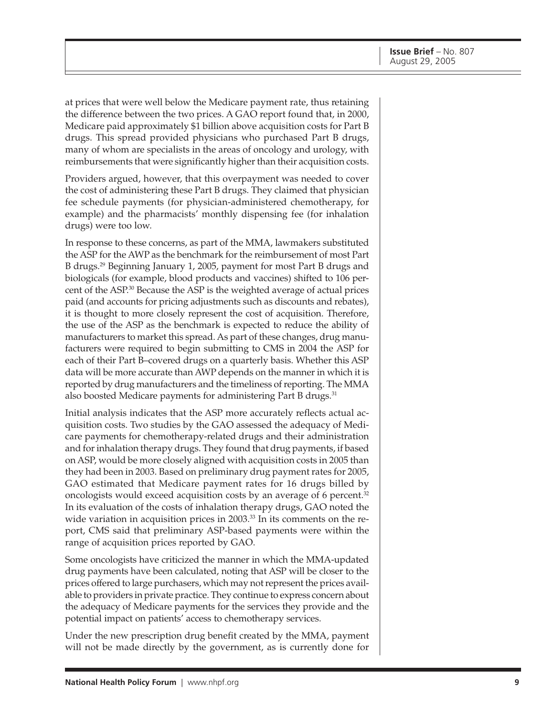at prices that were well below the Medicare payment rate, thus retaining the difference between the two prices. A GAO report found that, in 2000, Medicare paid approximately \$1 billion above acquisition costs for Part B drugs. This spread provided physicians who purchased Part B drugs, many of whom are specialists in the areas of oncology and urology, with reimbursements that were significantly higher than their acquisition costs.

Providers argued, however, that this overpayment was needed to cover the cost of administering these Part B drugs. They claimed that physician fee schedule payments (for physician-administered chemotherapy, for example) and the pharmacists' monthly dispensing fee (for inhalation drugs) were too low.

In response to these concerns, as part of the MMA, lawmakers substituted the ASP for the AWP as the benchmark for the reimbursement of most Part B drugs.29 Beginning January 1, 2005, payment for most Part B drugs and biologicals (for example, blood products and vaccines) shifted to 106 percent of the ASP.30 Because the ASP is the weighted average of actual prices paid (and accounts for pricing adjustments such as discounts and rebates), it is thought to more closely represent the cost of acquisition. Therefore, the use of the ASP as the benchmark is expected to reduce the ability of manufacturers to market this spread. As part of these changes, drug manufacturers were required to begin submitting to CMS in 2004 the ASP for each of their Part B–covered drugs on a quarterly basis. Whether this ASP data will be more accurate than AWP depends on the manner in which it is reported by drug manufacturers and the timeliness of reporting. The MMA also boosted Medicare payments for administering Part B drugs.<sup>31</sup>

Initial analysis indicates that the ASP more accurately reflects actual acquisition costs. Two studies by the GAO assessed the adequacy of Medicare payments for chemotherapy-related drugs and their administration and for inhalation therapy drugs. They found that drug payments, if based on ASP, would be more closely aligned with acquisition costs in 2005 than they had been in 2003. Based on preliminary drug payment rates for 2005, GAO estimated that Medicare payment rates for 16 drugs billed by oncologists would exceed acquisition costs by an average of 6 percent.<sup>32</sup> In its evaluation of the costs of inhalation therapy drugs, GAO noted the wide variation in acquisition prices in 2003.<sup>33</sup> In its comments on the report, CMS said that preliminary ASP-based payments were within the range of acquisition prices reported by GAO.

Some oncologists have criticized the manner in which the MMA-updated drug payments have been calculated, noting that ASP will be closer to the prices offered to large purchasers, which may not represent the prices available to providers in private practice. They continue to express concern about the adequacy of Medicare payments for the services they provide and the potential impact on patients' access to chemotherapy services.

Under the new prescription drug benefit created by the MMA, payment will not be made directly by the government, as is currently done for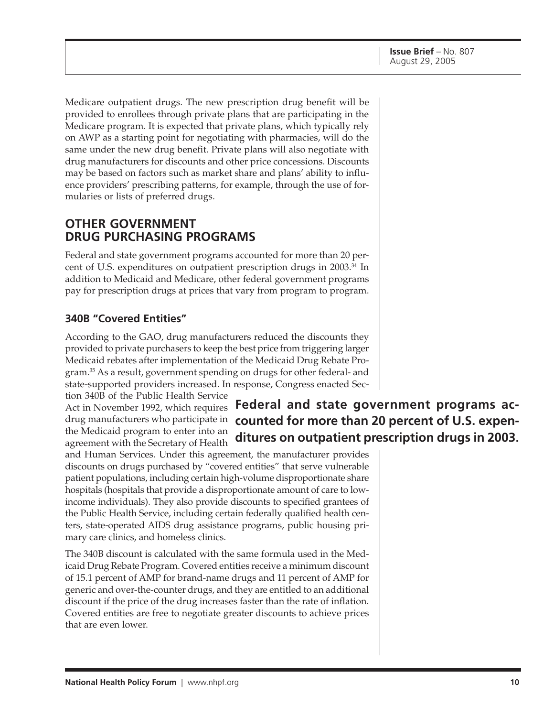Medicare outpatient drugs. The new prescription drug benefit will be provided to enrollees through private plans that are participating in the Medicare program. It is expected that private plans, which typically rely on AWP as a starting point for negotiating with pharmacies, will do the same under the new drug benefit. Private plans will also negotiate with drug manufacturers for discounts and other price concessions. Discounts may be based on factors such as market share and plans' ability to influence providers' prescribing patterns, for example, through the use of formularies or lists of preferred drugs.

#### **OTHER GOVERNMENT DRUG PURCHASING PROGRAMS**

Federal and state government programs accounted for more than 20 percent of U.S. expenditures on outpatient prescription drugs in 2003.34 In addition to Medicaid and Medicare, other federal government programs pay for prescription drugs at prices that vary from program to program.

#### **340B "Covered Entities"**

According to the GAO, drug manufacturers reduced the discounts they provided to private purchasers to keep the best price from triggering larger Medicaid rebates after implementation of the Medicaid Drug Rebate Program.35 As a result, government spending on drugs for other federal- and state-supported providers increased. In response, Congress enacted Section 340B of the Public Health Service

Act in November 1992, which requires drug manufacturers who participate in the Medicaid program to enter into an agreement with the Secretary of Health

and Human Services. Under this agreement, the manufacturer provides discounts on drugs purchased by "covered entities" that serve vulnerable patient populations, including certain high-volume disproportionate share hospitals (hospitals that provide a disproportionate amount of care to lowincome individuals). They also provide discounts to specified grantees of the Public Health Service, including certain federally qualified health centers, state-operated AIDS drug assistance programs, public housing primary care clinics, and homeless clinics.

The 340B discount is calculated with the same formula used in the Medicaid Drug Rebate Program. Covered entities receive a minimum discount of 15.1 percent of AMP for brand-name drugs and 11 percent of AMP for generic and over-the-counter drugs, and they are entitled to an additional discount if the price of the drug increases faster than the rate of inflation. Covered entities are free to negotiate greater discounts to achieve prices that are even lower.

# **Federal and state government programs accounted for more than 20 percent of U.S. expenditures on outpatient prescription drugs in 2003.**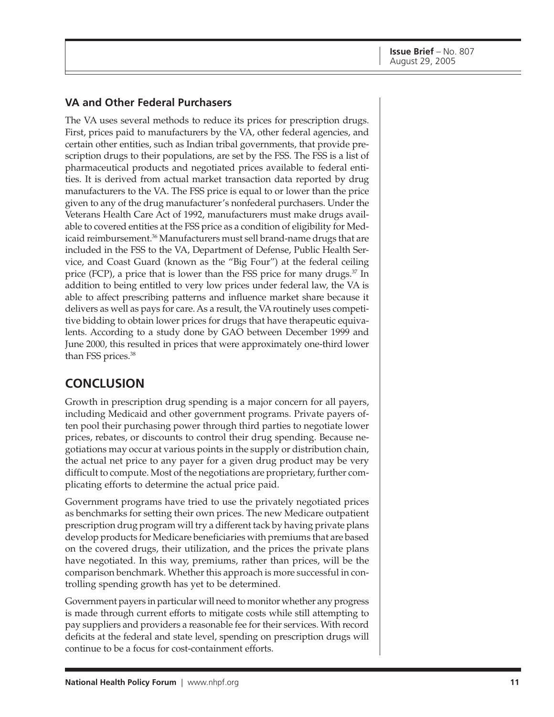#### **VA and Other Federal Purchasers**

The VA uses several methods to reduce its prices for prescription drugs. First, prices paid to manufacturers by the VA, other federal agencies, and certain other entities, such as Indian tribal governments, that provide prescription drugs to their populations, are set by the FSS. The FSS is a list of pharmaceutical products and negotiated prices available to federal entities. It is derived from actual market transaction data reported by drug manufacturers to the VA. The FSS price is equal to or lower than the price given to any of the drug manufacturer's nonfederal purchasers. Under the Veterans Health Care Act of 1992, manufacturers must make drugs available to covered entities at the FSS price as a condition of eligibility for Medicaid reimbursement.<sup>36</sup> Manufacturers must sell brand-name drugs that are included in the FSS to the VA, Department of Defense, Public Health Service, and Coast Guard (known as the "Big Four") at the federal ceiling price (FCP), a price that is lower than the FSS price for many drugs.<sup>37</sup> In addition to being entitled to very low prices under federal law, the VA is able to affect prescribing patterns and influence market share because it delivers as well as pays for care. As a result, the VA routinely uses competitive bidding to obtain lower prices for drugs that have therapeutic equivalents. According to a study done by GAO between December 1999 and June 2000, this resulted in prices that were approximately one-third lower than FSS prices.<sup>38</sup>

### **CONCLUSION**

Growth in prescription drug spending is a major concern for all payers, including Medicaid and other government programs. Private payers often pool their purchasing power through third parties to negotiate lower prices, rebates, or discounts to control their drug spending. Because negotiations may occur at various points in the supply or distribution chain, the actual net price to any payer for a given drug product may be very difficult to compute. Most of the negotiations are proprietary, further complicating efforts to determine the actual price paid.

Government programs have tried to use the privately negotiated prices as benchmarks for setting their own prices. The new Medicare outpatient prescription drug program will try a different tack by having private plans develop products for Medicare beneficiaries with premiums that are based on the covered drugs, their utilization, and the prices the private plans have negotiated. In this way, premiums, rather than prices, will be the comparison benchmark. Whether this approach is more successful in controlling spending growth has yet to be determined.

Government payers in particular will need to monitor whether any progress is made through current efforts to mitigate costs while still attempting to pay suppliers and providers a reasonable fee for their services. With record deficits at the federal and state level, spending on prescription drugs will continue to be a focus for cost-containment efforts.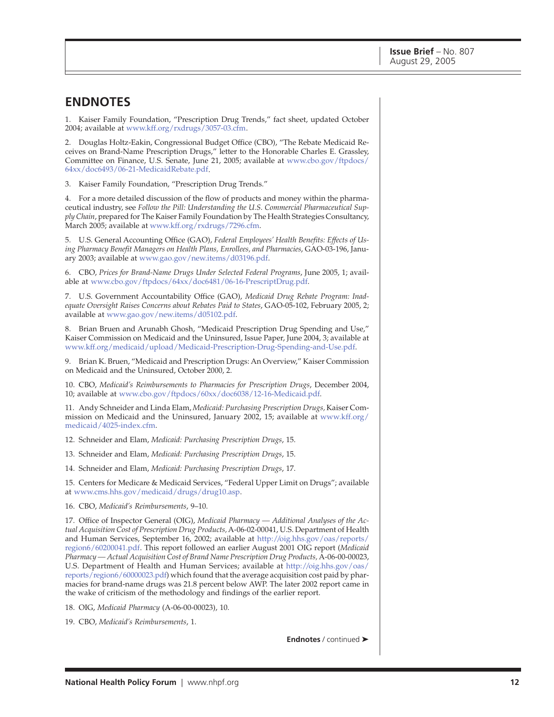#### **ENDNOTES**

1. Kaiser Family Foundation, "Prescription Drug Trends," fact sheet, updated October 2004; available a[t www.kff.org/rxdrugs/3057-03.cfm.](http://www.kff.org/rxdrugs/3057-03.cfm)

2. Douglas Holtz-Eakin, Congressional Budget Office (CBO), "The Rebate Medicaid Receives on Brand-Name Prescription Drugs," letter to the Honorable Charles E. Grassley, Committee on Finance, U.S. Senate, June 21, 2005; available at [www.cbo.gov/ftpdocs/](http://www.cbo.gov/ftpdocs/64xx/doc6493/06-21-MedicaidRebate.pdf) 64xx/doc6493/06-21-MedicaidRebate.pdf.

3. Kaiser Family Foundation, "Prescription Drug Trends."

4. For a more detailed discussion of the flow of products and money within the pharmaceutical industry, see *Follow the Pill: Understanding the U.S. Commercial Pharmaceutical Supply Chain*, prepared for The Kaiser Family Foundation by The Health Strategies Consultancy, March 2005; available a[t www.kff.org/rxdrugs/7296.cfm.](http://www.kff.org/rxdrugs/7296.cfm)

5. U.S. General Accounting Office (GAO), *Federal Employees' Health Benefits: Effects of Using Pharmacy Benefit Managers on Health Plans, Enrollees, and Pharmacies*, GAO-03-196, January 2003; available at [www.gao.gov/new.items/d03196.pdf.](http://www.gao.gov/new.items/d03196.pdf)

6. CBO, *Prices for Brand-Name Drugs Under Selected Federal Programs*, June 2005, 1; available at [www.cbo.gov/ftpdocs/64xx/doc6481/06-16-PrescriptDrug.pdf.](http://www.cbo.gov/ftpdocs/64xx/doc6481/06-16-PrescriptDrug.pdf)

7. U.S. Government Accountability Office (GAO), *Medicaid Drug Rebate Program: Inadequate Oversight Raises Concerns about Rebates Paid to States*, GAO-05-102, February 2005, 2; available at [www.gao.gov/new.items/d05102.pdf.](http://www.gao.gov/new.items/d05102.pdf)

8. Brian Bruen and Arunabh Ghosh, "Medicaid Prescription Drug Spending and Use," Kaiser Commission on Medicaid and the Uninsured, Issue Paper, June 2004, 3; available at [www.kff.org/medicaid/upload/Medicaid-Prescription-Drug-Spending-and-Use.pdf.](http://www.kff.org/medicaid/upload/Medicaid-Prescription-Drug-Spending-and-Use.pdf)

9. Brian K. Bruen, "Medicaid and Prescription Drugs: An Overview," Kaiser Commission on Medicaid and the Uninsured, October 2000, 2.

10. CBO, *Medicaid's Reimbursements to Pharmacies for Prescription Drugs*, December 2004, 10; available a[t www.cbo.gov/ftpdocs/60xx/doc6038/12-16-Medicaid.pdf.](http://www.cbo.gov/ftpdocs/60xx/doc6038/12-16-Medicaid.pdf)

11. Andy Schneider and Linda Elam, *Medicaid: Purchasing Prescription Drugs,* Kaiser Commission on Medicaid and the Uninsured, January 2002, 15; available a[t www.kff.org/](http://www.kff.org/medicaid/4025-index.cfm) medicaid/4025-index.cfm.

12. Schneider and Elam, *Medicaid: Purchasing Prescription Drugs*, 15.

13. Schneider and Elam, *Medicaid: Purchasing Prescription Drugs*, 15.

14. Schneider and Elam, *Medicaid: Purchasing Prescription Drugs*, 17.

15. Centers for Medicare & Medicaid Services, "Federal Upper Limit on Drugs"; available a[t www.cms.hhs.gov/medicaid/drugs/drug10.asp.](http://www.cms.hhs.gov/medicaid/drugs/drug10.asp)

16. CBO, *Medicaid's Reimbursements*, 9–10.

17. Office of Inspector General (OIG), *Medicaid Pharmacy — Additional Analyses of the Actual Acquisition Cost of Prescription Drug Products,* A-06-02-00041, U.S. Department of Health and Human Services, September 16, 2002; available at [http://oig.hhs.gov/oas/reports/](http://oig.hhs.gov/oas/reports/region6/60200041.pdf) region6/60200041.pdf. This report followed an earlier August 2001 OIG report (*Medicaid Pharmacy — Actual Acquisition Cost of Brand Name Prescription Drug Products,* A-06-00-00023, U.S. Department of Health and Human Services; available [at http://oig.hhs.gov/oas/](http://oig.hhs.gov/oas/reports/region6/60000023.pdf) reports/region6/60000023.pdf) which found that the average acquisition cost paid by pharmacies for brand-name drugs was 21.8 percent below AWP. The later 2002 report came in the wake of criticism of the methodology and findings of the earlier report.

18. OIG, *Medicaid Pharmacy* (A-06-00-00023), 10.

19. CBO, *Medicaid's Reimbursements*, 1.

**Endnotes** / continued ➤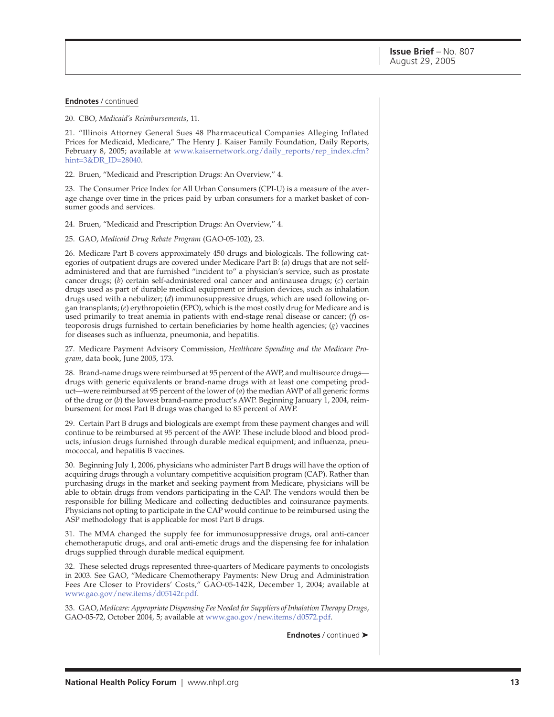#### **Endnotes** / continued

20. CBO, *Medicaid's Reimbursements*, 11.

21. "Illinois Attorney General Sues 48 Pharmaceutical Companies Alleging Inflated Prices for Medicaid, Medicare," The Henry J. Kaiser Family Foundation, Daily Reports, February 8, 2005; available a[t www.kaisernetwork.org/daily\\_reports/rep\\_index.cfm?](http://www.kaisernetwork.org/daily_reports/rep_index.cfm?hint=3&DR_ID=28040) hint=3&DR\_ID=28040.

22. Bruen, "Medicaid and Prescription Drugs: An Overview," 4.

23. The Consumer Price Index for All Urban Consumers (CPI-U) is a measure of the average change over time in the prices paid by urban consumers for a market basket of consumer goods and services.

24. Bruen, "Medicaid and Prescription Drugs: An Overview," 4.

25. GAO, *Medicaid Drug Rebate Program* (GAO-05-102), 23.

26. Medicare Part B covers approximately 450 drugs and biologicals. The following categories of outpatient drugs are covered under Medicare Part B: (*a*) drugs that are not selfadministered and that are furnished "incident to" a physician's service, such as prostate cancer drugs; (*b*) certain self-administered oral cancer and antinausea drugs; (*c*) certain drugs used as part of durable medical equipment or infusion devices, such as inhalation drugs used with a nebulizer; (*d*) immunosuppressive drugs, which are used following organ transplants; (*e*) erythropoietin (EPO), which is the most costly drug for Medicare and is used primarily to treat anemia in patients with end-stage renal disease or cancer; (*f*) osteoporosis drugs furnished to certain beneficiaries by home health agencies; (*g*) vaccines for diseases such as influenza, pneumonia, and hepatitis.

27. Medicare Payment Advisory Commission, *Healthcare Spending and the Medicare Program*, data book, June 2005, 173.

28. Brand-name drugs were reimbursed at 95 percent of the AWP, and multisource drugs drugs with generic equivalents or brand-name drugs with at least one competing product—were reimbursed at 95 percent of the lower of (*a*) the median AWP of all generic forms of the drug or (*b*) the lowest brand-name product's AWP. Beginning January 1, 2004, reimbursement for most Part B drugs was changed to 85 percent of AWP.

29. Certain Part B drugs and biologicals are exempt from these payment changes and will continue to be reimbursed at 95 percent of the AWP. These include blood and blood products; infusion drugs furnished through durable medical equipment; and influenza, pneumococcal, and hepatitis B vaccines.

30. Beginning July 1, 2006, physicians who administer Part B drugs will have the option of acquiring drugs through a voluntary competitive acquisition program (CAP). Rather than purchasing drugs in the market and seeking payment from Medicare, physicians will be able to obtain drugs from vendors participating in the CAP. The vendors would then be responsible for billing Medicare and collecting deductibles and coinsurance payments. Physicians not opting to participate in the CAP would continue to be reimbursed using the ASP methodology that is applicable for most Part B drugs.

31. The MMA changed the supply fee for immunosuppressive drugs, oral anti-cancer chemotheraputic drugs, and oral anti-emetic drugs and the dispensing fee for inhalation drugs supplied through durable medical equipment.

32. These selected drugs represented three-quarters of Medicare payments to oncologists in 2003. See GAO, "Medicare Chemotherapy Payments: New Drug and Administration Fees Are Closer to Providers' Costs," GAO-05-142R, December 1, 2004; available at [www.gao.gov/new.items/d05142r.pdf.](http://www.gao.gov/new.items/d05142r.pdf)

33. GAO, *Medicare: Appropriate Dispensing Fee Needed for Suppliers of Inhalation Therapy Drugs*, GAO-05-72, October 2004, 5; available a[t www.gao.gov/new.items/d0572.pdf.](http://www.gao.gov/new.items/d0572.pdf)

**Endnotes** / continued ➤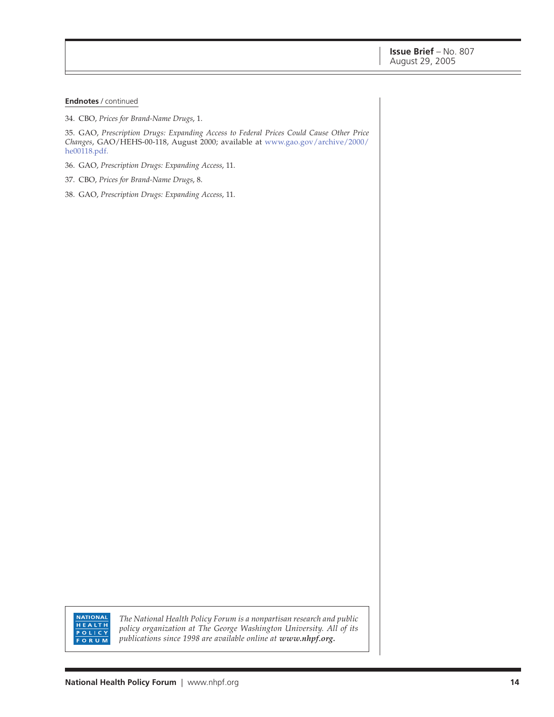#### **Endnotes** / continued

34. CBO, *Prices for Brand-Name Drugs*, 1.

35. GAO, *Prescription Drugs: Expanding Access to Federal Prices Could Cause Other Price Changes*, GAO/HEHS-00-118, August 2000; available at [www.gao.gov/archive/2000/](http://www.gao.gov/archive/2000/he00118.pdf) he00118.pdf.

- 36. GAO, *Prescription Drugs: Expanding Access*, 11.
- 37. CBO, *Prices for Brand-Name Drugs*, 8.
- 38. GAO, *Prescription Drugs: Expanding Access*, 11.

NATIONAL<br>HEALTH **POLICY FORUM** 

*The National Health Policy Forum is a nonpartisan research and public policy organization at The George Washington University. All of its publications since 1998 are available online at www.nhpf.org.*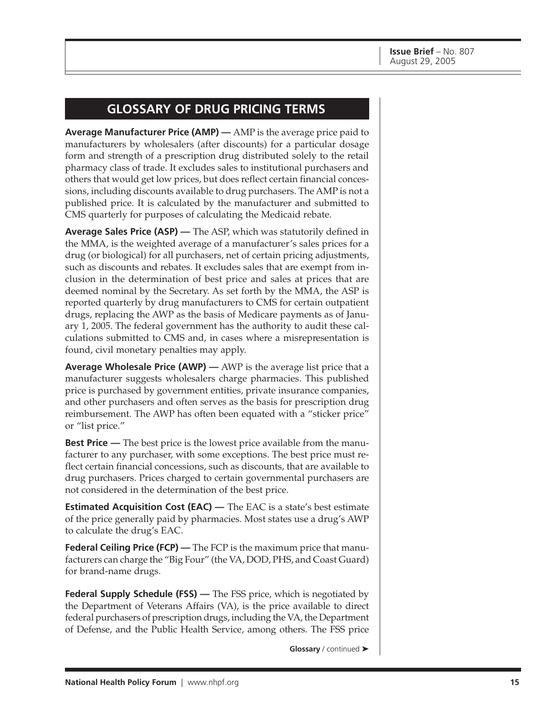## **GLOSSARY OF DRUG PRICING TERMS**

**Average Manufacturer Price (AMP) —** AMP is the average price paid to manufacturers by wholesalers (after discounts) for a particular dosage form and strength of a prescription drug distributed solely to the retail pharmacy class of trade. It excludes sales to institutional purchasers and others that would get low prices, but does reflect certain financial concessions, including discounts available to drug purchasers. The AMP is not a published price. It is calculated by the manufacturer and submitted to CMS quarterly for purposes of calculating the Medicaid rebate.

**Average Sales Price (ASP) —** The ASP, which was statutorily defined in the MMA, is the weighted average of a manufacturer's sales prices for a drug (or biological) for all purchasers, net of certain pricing adjustments, such as discounts and rebates. It excludes sales that are exempt from inclusion in the determination of best price and sales at prices that are deemed nominal by the Secretary. As set forth by the MMA, the ASP is reported quarterly by drug manufacturers to CMS for certain outpatient drugs, replacing the AWP as the basis of Medicare payments as of January 1, 2005. The federal government has the authority to audit these calculations submitted to CMS and, in cases where a misrepresentation is found, civil monetary penalties may apply.

**Average Wholesale Price (AWP) —** AWP is the average list price that a manufacturer suggests wholesalers charge pharmacies. This published price is purchased by government entities, private insurance companies, and other purchasers and often serves as the basis for prescription drug reimbursement. The AWP has often been equated with a "sticker price" or "list price."

**Best Price** — The best price is the lowest price available from the manufacturer to any purchaser, with some exceptions. The best price must reflect certain financial concessions, such as discounts, that are available to drug purchasers. Prices charged to certain governmental purchasers are not considered in the determination of the best price.

**Estimated Acquisition Cost (EAC)** — The EAC is a state's best estimate of the price generally paid by pharmacies. Most states use a drug's AWP to calculate the drug's EAC.

**Federal Ceiling Price (FCP) —** The FCP is the maximum price that manufacturers can charge the "Big Four" (the VA, DOD, PHS, and Coast Guard) for brand-name drugs.

**Federal Supply Schedule (FSS) —** The FSS price, which is negotiated by the Department of Veterans Affairs (VA), is the price available to direct federal purchasers of prescription drugs, including the VA, the Department of Defense, and the Public Health Service, among others. The FSS price

**Glossary** / continued ➤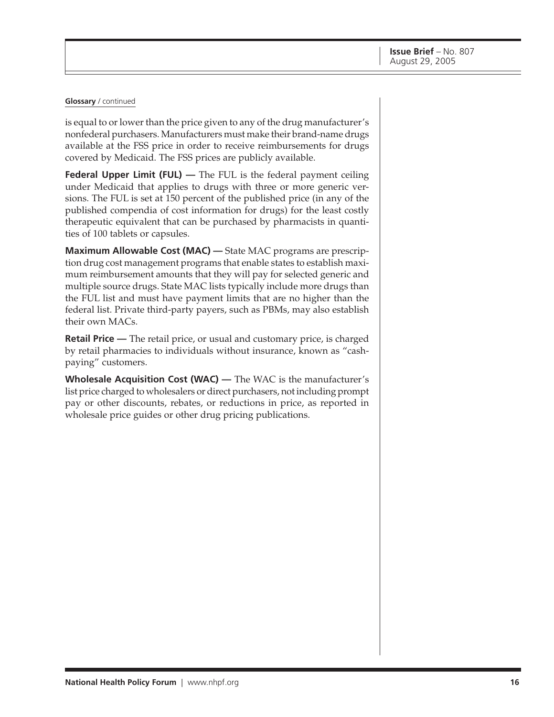#### **Glossary** / continued

is equal to or lower than the price given to any of the drug manufacturer's nonfederal purchasers. Manufacturers must make their brand-name drugs available at the FSS price in order to receive reimbursements for drugs covered by Medicaid. The FSS prices are publicly available.

**Federal Upper Limit (FUL)** — The FUL is the federal payment ceiling under Medicaid that applies to drugs with three or more generic versions. The FUL is set at 150 percent of the published price (in any of the published compendia of cost information for drugs) for the least costly therapeutic equivalent that can be purchased by pharmacists in quantities of 100 tablets or capsules.

**Maximum Allowable Cost (MAC) —** State MAC programs are prescription drug cost management programs that enable states to establish maximum reimbursement amounts that they will pay for selected generic and multiple source drugs. State MAC lists typically include more drugs than the FUL list and must have payment limits that are no higher than the federal list. Private third-party payers, such as PBMs, may also establish their own MACs.

**Retail Price —** The retail price, or usual and customary price, is charged by retail pharmacies to individuals without insurance, known as "cashpaying" customers.

**Wholesale Acquisition Cost (WAC) —** The WAC is the manufacturer's list price charged to wholesalers or direct purchasers, not including prompt pay or other discounts, rebates, or reductions in price, as reported in wholesale price guides or other drug pricing publications.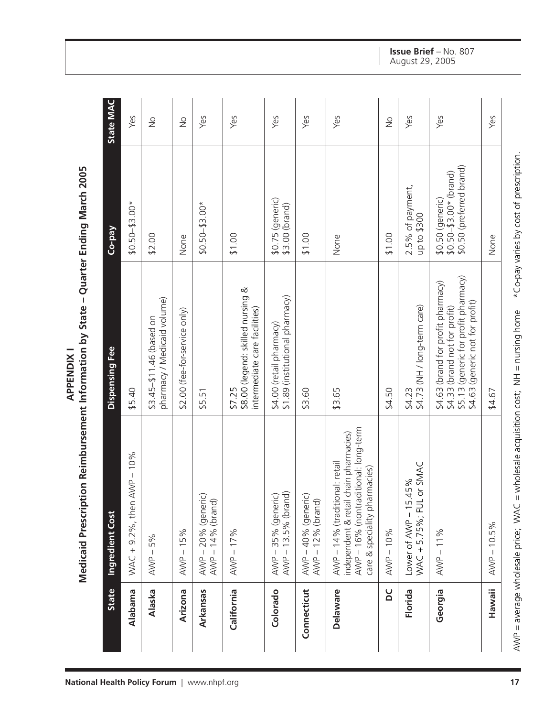| ֧֦֧֦֧֦֧֦֧֦֧֦֧֦֧֦֧֦֧֦֧֦֧֦֧֦֧֦֧֦֧֦֧<br>م<br>ک |
|---------------------------------------------|
|                                             |
| y State – Quarter Ending Marc.              |
|                                             |
|                                             |
|                                             |
|                                             |
|                                             |
| - Doimbursement Information by Stars        |
|                                             |
|                                             |
|                                             |
|                                             |
|                                             |
| í                                           |
|                                             |

| <b>State</b>  | <b>Ingredient Cost</b>                                                                                                                          | Dispensing Fee                                                                                                                                    | Co-pay                                                                    | State MAC     |
|---------------|-------------------------------------------------------------------------------------------------------------------------------------------------|---------------------------------------------------------------------------------------------------------------------------------------------------|---------------------------------------------------------------------------|---------------|
| Alabama       | $WAC + 9.2%$ , then AWP - 10%                                                                                                                   | \$5.40                                                                                                                                            | $$0.50 - $3.00*$                                                          | Yes           |
| Alaska        | $AVNP - 5%$                                                                                                                                     | pharmacy / Medicaid volume)<br>\$3.45-\$11.46 (based on                                                                                           | \$2.00                                                                    | $\frac{1}{2}$ |
| Arizona       | 15%<br>$\,$ $\,$<br>AWP.                                                                                                                        | $$2.00$ (fee-for-service only)                                                                                                                    | None                                                                      | $\frac{1}{2}$ |
| Arkansas      | AWP-20% (generic)<br>AWP - 14% (brand)                                                                                                          | \$5.51                                                                                                                                            | $$0.50 - $3.00*$                                                          | Yes           |
| California    | $AVNP - 17%$                                                                                                                                    | \$8.00 (legend: skilled nursing &<br>intermediate care facilities)<br>\$7.25                                                                      | \$1.00                                                                    | Yes           |
| Colorado      | AWP-35% (generic)<br>AWP-13.5% (brand)                                                                                                          | \$1.89 (institutional pharmacy)<br>\$4.00 (retail pharmacy)                                                                                       | $$0.75$ (generic)<br>\$3.00 (brand)                                       | Yes           |
| Connecticut   | AWP-40% (generic)<br>$AVNP - 12%$ (brand)                                                                                                       | \$3.60                                                                                                                                            | \$1.00                                                                    | Yes           |
| Delaware      | AWP-16% (nontraditional: long-term<br>independent & retail chain pharmacies)<br>AWP - 14% (traditional: retail<br>care & speciality pharmacies) | \$3.65                                                                                                                                            | None                                                                      | Yes           |
| ŏ             | $AVNP - 10%$                                                                                                                                    | \$4.50                                                                                                                                            | \$1.00                                                                    | $\frac{1}{2}$ |
| Florida       | WAC + 5.75%; FUL or SMAC<br>15%<br>Lower of $AVVP - 15.4$                                                                                       | \$4.73 (NH / long-term care)<br>\$4.23                                                                                                            | 2.5% of payment,<br>up to \$300                                           | Yes           |
| Georgia       | $AVNP - 11%$                                                                                                                                    | \$5.13 (generic for profit pharmacy)<br>\$4.63 (brand for profit pharmacy)<br>(generic not for profit)<br>\$4.33 (brand not for profit)<br>\$4.63 | \$0.50 (preferred brand)<br>$$0.50 - $3.00 * (brand)$<br>\$0.50 (generic) | Yes           |
| <b>Hawaii</b> | $AVNP - 10.5%$                                                                                                                                  | \$4.67                                                                                                                                            | None                                                                      | Yes           |

#### **Issue Brief** – No. 807 August 29, 2005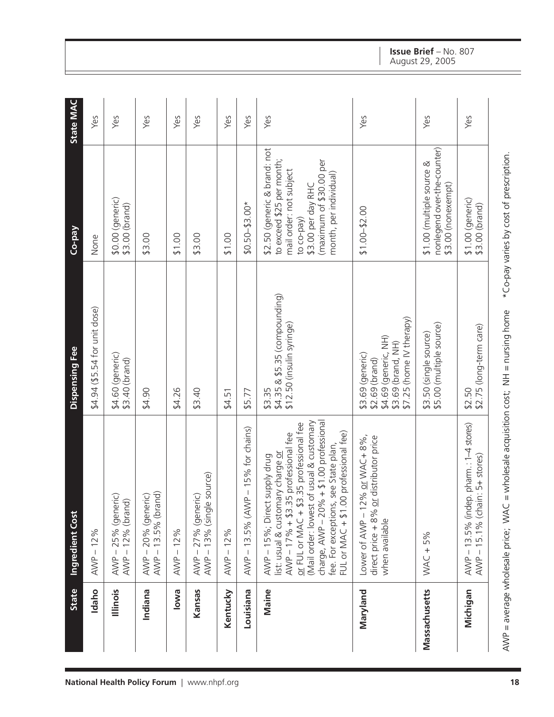|                                             | <b>State</b>  | Ingredient Cost                                                                                                                                                                                                                                                                                                                     | Dispensing Fee                                                                                               | Co-pay                                                                                                                                                                        | <b>State MAC</b> |
|---------------------------------------------|---------------|-------------------------------------------------------------------------------------------------------------------------------------------------------------------------------------------------------------------------------------------------------------------------------------------------------------------------------------|--------------------------------------------------------------------------------------------------------------|-------------------------------------------------------------------------------------------------------------------------------------------------------------------------------|------------------|
|                                             | Idaho         | 12%<br>$\mathsf I$<br>AWP-                                                                                                                                                                                                                                                                                                          | \$4.94 (\$5.54 for unit dose)                                                                                | None                                                                                                                                                                          | Yes              |
|                                             | lllinois      | AWP-25% (generic)<br>12% (brand)<br>$AND -$                                                                                                                                                                                                                                                                                         | \$4.60 (generic)<br>\$3.40 (brand)                                                                           | \$0.00 (generic)<br>\$3.00 (brand)                                                                                                                                            | Yes              |
| National Health Policy Forum   www.nhpf.org | Indiana       | AWP – 20% (generic)<br>AWP – 13.5% (brand)                                                                                                                                                                                                                                                                                          | \$4.90                                                                                                       | \$3.00                                                                                                                                                                        | Yes              |
|                                             | <b>Iowa</b>   | $AVNP - 12%$                                                                                                                                                                                                                                                                                                                        | \$4.26                                                                                                       | \$1.00                                                                                                                                                                        | Yes              |
|                                             | Kansas        | 13% (single source)<br>AWP-27% (generic)<br>$AVNP -$                                                                                                                                                                                                                                                                                | \$3.40                                                                                                       | \$3.00                                                                                                                                                                        | Yes              |
|                                             | Kentucky      | 12%<br>$AVNP -$                                                                                                                                                                                                                                                                                                                     | \$4.51                                                                                                       | \$1.00                                                                                                                                                                        | Yes              |
|                                             | Louisiana     | 15% for chains)<br>$\begin{array}{c} \begin{array}{c} \end{array} \end{array}$<br>$AVNP - 13.5% (AVNP)$                                                                                                                                                                                                                             | \$5.77                                                                                                       | $$0.50 - $3.00*$                                                                                                                                                              | Yes              |
|                                             | <b>Maine</b>  | charge, AWP - 20% + \$1.00 professional<br>(Mail order: lowest of usual & customary<br>or FUL or MAC + \$3.35 professional fee<br>professional fee)<br>$AVNP - 17% + $3.35$ professional fee<br>fee. For exceptions, see State plan,<br>list: usual & customary charge or<br>AWP - 15%; Direct supply drug<br>FUL or MAC $+$ \$1.00 | \$4.35 & \$5.35 (compounding)<br>\$12.50 (insulin syringe)<br>\$3.35                                         | \$2.50 (generic & brand: not<br>to exceed \$25 per month;<br>(maximum of \$30.00 per<br>mail order: not subject<br>month, per individual)<br>\$3.00 per day RHC<br>to co-pay) | Yes              |
|                                             | Maryland      | Lower of AWP - 12% or WAC + 8%,<br>distributor price<br>direct price + 8% or<br>when available                                                                                                                                                                                                                                      | \$7.25 (home IV therapy)<br>\$4.69 (generic, NH)<br>\$3.69 (brand, NH)<br>\$3.69 (generic)<br>\$2.69 (brand) | $$1.00 - $2.00$                                                                                                                                                               | Yes              |
|                                             | Massachusetts | $WAC + 5%$                                                                                                                                                                                                                                                                                                                          | \$5.00 (multiple source)<br>\$3.50 (single source)                                                           | nonlegend over-the-counter)<br>\$1.00 (multiple source &<br>\$3.00 (nonexempt)                                                                                                | Yes              |
|                                             | Michigan      | AWP-13.5% (indep. pharm.: 1-4 stores)<br>15.1% (chain: 5+ stores)<br>$AND -$                                                                                                                                                                                                                                                        | \$2.75 (long-term care)<br>\$2.50                                                                            | \$1.00 (generic)<br>\$3.00 (brand)                                                                                                                                            | Yes              |
| 18                                          |               | ANVP = average wholesale price; $WAC =$ wholesale acquisition cost; $NH =$ nursing home                                                                                                                                                                                                                                             |                                                                                                              | *Co-pay varies by cost of prescription.                                                                                                                                       |                  |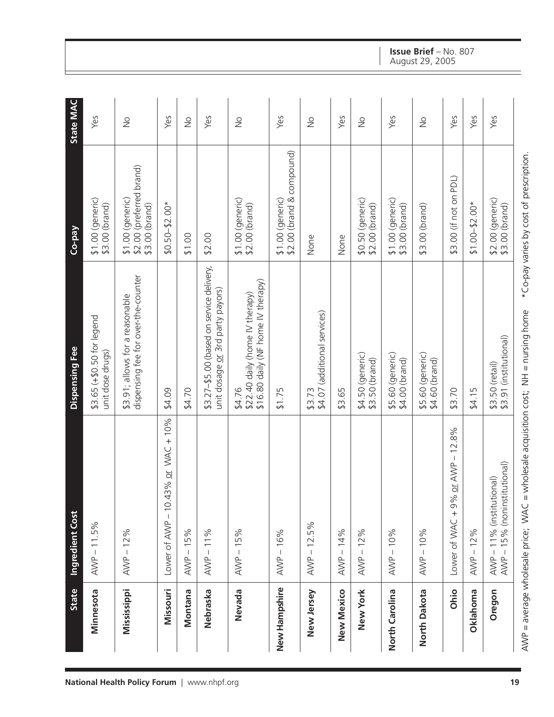|                                     | <b>State</b>      | Ingredient Cost                                           | Dispensing Fee                                                                  | Co-pay                                                          | <b>State MAC</b> |
|-------------------------------------|-------------------|-----------------------------------------------------------|---------------------------------------------------------------------------------|-----------------------------------------------------------------|------------------|
|                                     | Minnesota         | $AVNP - 11.5%$                                            | \$3.65 (+\$0.50 for legend<br>unit dose drugs)                                  | $$1.00$ (generic)<br>\$3.00 (brand)                             | Yes              |
| <b>National Health Policy Forum</b> | Mississippi       | $AVNP - 12%$                                              | dispensing fee for over-the-counter<br>\$3.91; allows for a reasonable          | \$2.00 (preferred brand)<br>$$1.00$ (generic)<br>\$3.00 (brand) | $\frac{1}{2}$    |
|                                     | Missouri          | 43% or WAC + 10%<br>Lower of AWP - 10.                    | \$4.09                                                                          | $$0.50 - $2.00*$                                                | Yes              |
|                                     | Montana           | 15%<br>$AND -$                                            | \$4.70                                                                          | \$1.00                                                          | $\geq$           |
| www.nhpf.org                        | Nebraska          | $AVNP - 11%$                                              | \$3.27-\$5.00 (based on service delivery,<br>unit dosage or 3rd party payors)   | \$2.00                                                          | Yes              |
|                                     | Nevada            | $AVVP - 15%$                                              | \$16.80 daily (NF home IV therapy)<br>\$22.40 daily (home IV therapy)<br>\$4.76 | $$1.00$ (generic)<br>\$2.00 (brand)                             | $\frac{1}{2}$    |
|                                     | New Hampshire     | $AVNP - 16%$                                              | \$1.75                                                                          | \$2.00 (brand & compound)<br>$$1.00$ (generic)                  | Yes              |
|                                     | New Jersey        | $AVNP - 12.5%$                                            | \$4.07 (additional services)<br>\$3.73                                          | None                                                            | $\frac{1}{2}$    |
|                                     | <b>New Mexico</b> | AWP-14%                                                   | \$3.65                                                                          | None                                                            | Yes              |
|                                     | New York          | $AVNP - 12%$                                              | $$4.50$ (generic)<br>\$3.50 (brand)                                             | $$0.50$ (generic)<br>\$2.00 (brand)                             | $\frac{1}{2}$    |
|                                     | North Carolina    | $AVNP - 10%$                                              | \$5.60 (generic)<br>\$4.00 (brand)                                              | $$1.00$ (generic)<br>\$3.00 (brand)                             | Yes              |
|                                     | North Dakota      | $AVNP - 10%$                                              | \$5.60 (generic)<br>\$4.60 (brand)                                              | \$3.00 (brand)                                                  | $\frac{1}{2}$    |
|                                     | Ohio              | Lower of WAC + 9% or AWP - 12.8%                          | \$3.70                                                                          | \$3.00 (if not on PDL)                                          | Yes              |
|                                     | Oklahoma          | $AVNP - 12%$                                              | \$4.15                                                                          | $$1.00 - $2.00*$                                                | Yes              |
|                                     | Oregon            | AWP - 15% (noninstitutional)<br>AWP - 11% (institutional) | \$3.91 (institutional)<br>\$3.50 (retail)                                       | \$2.00 (generic)<br>\$3.00 (brand)                              | Yes              |
| 19                                  |                   | AWP = average wholesale price; WAC                        | = wholesale acquisition cost; NH = nursing home                                 | *Co-pay varies by cost of prescription.                         |                  |

# **Issue Brief** – No. 807

August 29, 2005